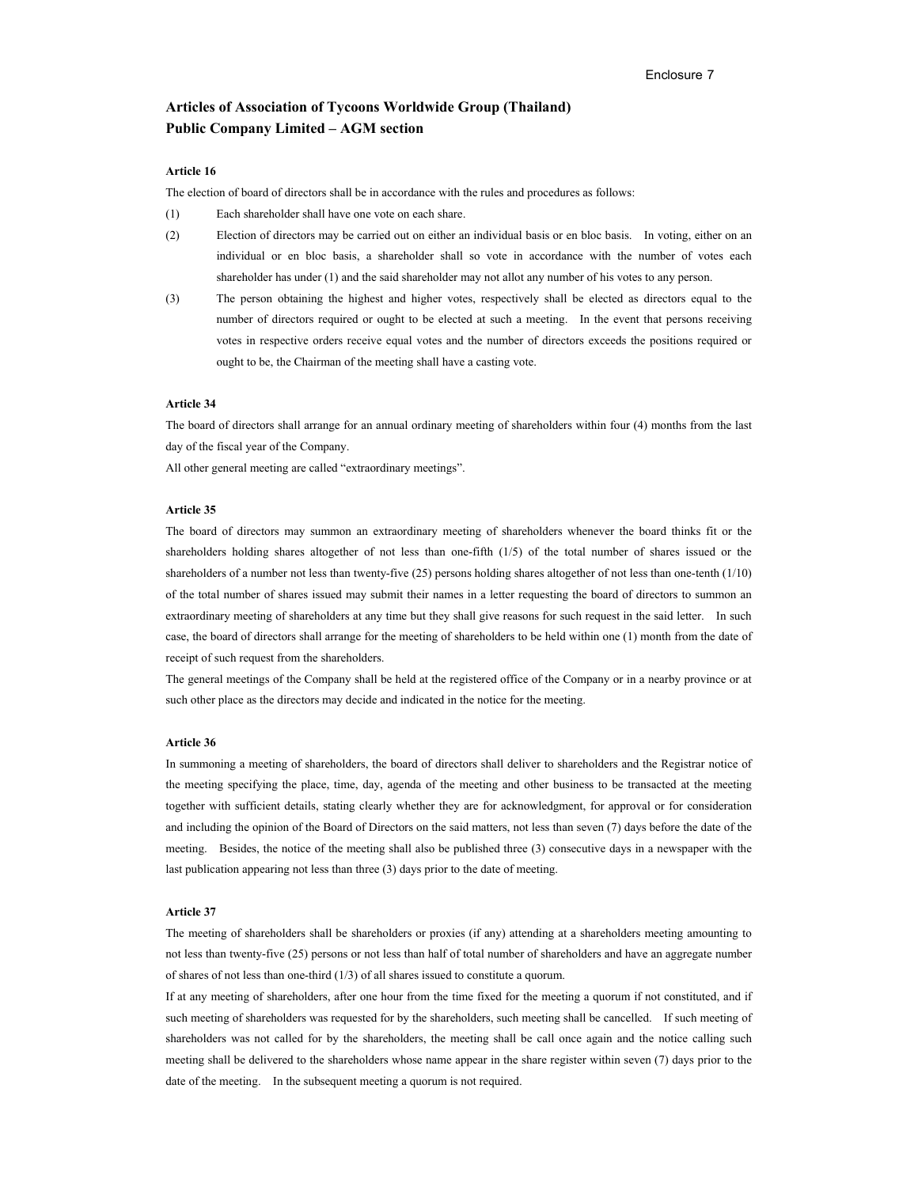# **Articles of Association of Tycoons Worldwide Group (Thailand) Public Company Limited – AGM section**

## **Article 16**

The election of board of directors shall be in accordance with the rules and procedures as follows:

- (1) Each shareholder shall have one vote on each share.
- (2) Election of directors may be carried out on either an individual basis or en bloc basis. In voting, either on an individual or en bloc basis, a shareholder shall so vote in accordance with the number of votes each shareholder has under (1) and the said shareholder may not allot any number of his votes to any person.
- (3) The person obtaining the highest and higher votes, respectively shall be elected as directors equal to the number of directors required or ought to be elected at such a meeting. In the event that persons receiving votes in respective orders receive equal votes and the number of directors exceeds the positions required or ought to be, the Chairman of the meeting shall have a casting vote.

#### **Article 34**

The board of directors shall arrange for an annual ordinary meeting of shareholders within four (4) months from the last day of the fiscal year of the Company.

All other general meeting are called "extraordinary meetings".

### **Article 35**

The board of directors may summon an extraordinary meeting of shareholders whenever the board thinks fit or the shareholders holding shares altogether of not less than one-fifth (1/5) of the total number of shares issued or the shareholders of a number not less than twenty-five (25) persons holding shares altogether of not less than one-tenth (1/10) of the total number of shares issued may submit their names in a letter requesting the board of directors to summon an extraordinary meeting of shareholders at any time but they shall give reasons for such request in the said letter. In such case, the board of directors shall arrange for the meeting of shareholders to be held within one (1) month from the date of receipt of such request from the shareholders.

The general meetings of the Company shall be held at the registered office of the Company or in a nearby province or at such other place as the directors may decide and indicated in the notice for the meeting.

#### **Article 36**

In summoning a meeting of shareholders, the board of directors shall deliver to shareholders and the Registrar notice of the meeting specifying the place, time, day, agenda of the meeting and other business to be transacted at the meeting together with sufficient details, stating clearly whether they are for acknowledgment, for approval or for consideration and including the opinion of the Board of Directors on the said matters, not less than seven (7) days before the date of the meeting. Besides, the notice of the meeting shall also be published three (3) consecutive days in a newspaper with the last publication appearing not less than three (3) days prior to the date of meeting.

#### **Article 37**

The meeting of shareholders shall be shareholders or proxies (if any) attending at a shareholders meeting amounting to not less than twenty-five (25) persons or not less than half of total number of shareholders and have an aggregate number of shares of not less than one-third (1/3) of all shares issued to constitute a quorum.

If at any meeting of shareholders, after one hour from the time fixed for the meeting a quorum if not constituted, and if such meeting of shareholders was requested for by the shareholders, such meeting shall be cancelled. If such meeting of shareholders was not called for by the shareholders, the meeting shall be call once again and the notice calling such meeting shall be delivered to the shareholders whose name appear in the share register within seven (7) days prior to the date of the meeting. In the subsequent meeting a quorum is not required.